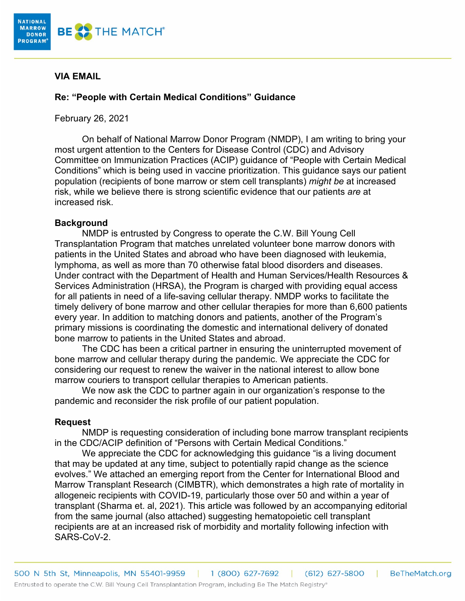

## **VIA EMAIL**

## **Re: "People with Certain Medical Conditions" Guidance**

February 26, 2021

On behalf of National Marrow Donor Program (NMDP), I am writing to bring your most urgent attention to the Centers for Disease Control (CDC) and Advisory Committee on Immunization Practices (ACIP) guidance of "People with Certain Medical Conditions" which is being used in vaccine prioritization. This guidance says our patient population (recipients of bone marrow or stem cell transplants) *might be* at increased risk, while we believe there is strong scientific evidence that our patients *are* at increased risk.

## **Background**

NMDP is entrusted by Congress to operate the C.W. Bill Young Cell Transplantation Program that matches unrelated volunteer bone marrow donors with patients in the United States and abroad who have been diagnosed with leukemia, lymphoma, as well as more than 70 otherwise fatal blood disorders and diseases. Under contract with the Department of Health and Human Services/Health Resources & Services Administration (HRSA), the Program is charged with providing equal access for all patients in need of a life-saving cellular therapy. NMDP works to facilitate the timely delivery of bone marrow and other cellular therapies for more than 6,600 patients every year. In addition to matching donors and patients, another of the Program's primary missions is coordinating the domestic and international delivery of donated bone marrow to patients in the United States and abroad.

The CDC has been a critical partner in ensuring the uninterrupted movement of bone marrow and cellular therapy during the pandemic. We appreciate the CDC for considering our request to renew the waiver in the national interest to allow bone marrow couriers to transport cellular therapies to American patients.

We now ask the CDC to partner again in our organization's response to the pandemic and reconsider the risk profile of our patient population.

## **Request**

NMDP is requesting consideration of including bone marrow transplant recipients in the CDC/ACIP definition of "Persons with Certain Medical Conditions."

We appreciate the CDC for acknowledging this guidance "is a living document that may be updated at any time, subject to potentially rapid change as the science evolves." We attached an emerging report from the Center for International Blood and Marrow Transplant Research (CIMBTR), which demonstrates a high rate of mortality in allogeneic recipients with COVID-19, particularly those over 50 and within a year of transplant (Sharma et. al, 2021). This article was followed by an accompanying editorial from the same journal (also attached) suggesting hematopoietic cell transplant recipients are at an increased risk of morbidity and mortality following infection with SARS-CoV-2.